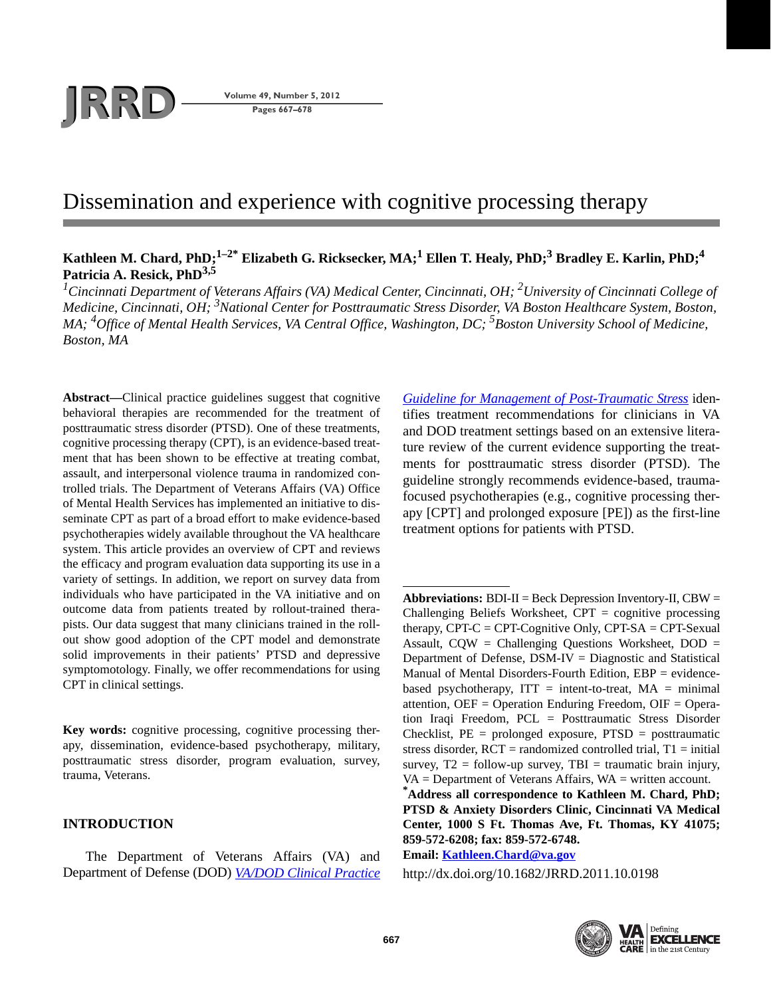**Pages 667–678**

**JRD**  $\frac{\text{Volume } 49, \text{ Number } 5, 2012}{\text{Pages } 667 - 678}$ 

# Dissemination and experience with cognitive processing therapy

# Kathleen M. Chard, PhD;<sup>1–2\*</sup> Elizabeth G. Ricksecker, MA;<sup>1</sup> Ellen T. Healy, PhD;<sup>3</sup> Bradley E. Karlin, PhD;<sup>4</sup> **Patricia A. Resick, PhD3,5**

<sup>1</sup> Cincinnati Department of Veterans Affairs (VA) Medical Center, Cincinnati, OH; <sup>2</sup>University of Cincinnati College of *Medicine, Cincinnati, OH; 3 National Center for Posttraumatic Stress Disorder, VA Boston Healthcare System, Boston, MA; 4Office of Mental Health Services, VA Central Office, Washington, DC; 5Boston University School of Medicine, Boston, MA*

**Abstract—**Clinical practice guidelines suggest that cognitive behavioral therapies are recommended for the treatment of posttraumatic stress disorder (PTSD). One of these treatments, cognitive processing therapy (CPT), is an evidence-based treatment that has been shown to be effective at treating combat, assault, and interpersonal violence trauma in randomized controlled trials. The Department of Veterans Affairs (VA) Office of Mental Health Services has implemented an initiative to disseminate CPT as part of a broad effort to make evidence-based psychotherapies widely available throughout the VA healthcare system. This article provides an overview of CPT and reviews the efficacy and program evaluation data supporting its use in a variety of settings. In addition, we report on survey data from individuals who have participated in the VA initiative and on outcome data from patients treated by rollout-trained therapists. Our data suggest that many clinicians trained in the rollout show good adoption of the CPT model and demonstrate solid improvements in their patients' PTSD and depressive symptomotology. Finally, we offer recommendations for using CPT in clinical settings.

**Key words:** cognitive processing, cognitive processing therapy, dissemination, evidence-based psychotherapy, military, posttraumatic stress disorder, program evaluation, survey, trauma, Veterans.

# **INTRODUCTION**

The Department of Veterans Affairs (VA) and Department of Defense (DOD) *VA/DOD [Clinical Practice](VADODclinicalguidlines495.pdf)* *[Guideline for Management of Post-Traumatic Stress](VADODclinicalguidlines495.pdf)* identifies treatment recommendations for clinicians in VA and DOD treatment settings based on an extensive literature review of the current evidence supporting the treatments for posttraumatic stress disorder (PTSD). The guideline strongly recommends evidence-based, traumafocused psychotherapies (e.g., cognitive processing therapy [CPT] and prolonged exposure [PE]) as the first-line treatment options for patients with PTSD.

**Abbreviations:** BDI-II = Beck Depression Inventory-II, CBW = Challenging Beliefs Worksheet,  $CPT =$  cognitive processing therapy,  $CPT-C = CPT-Cognitive Only, CPT-SA = CPT-Sexual$ Assault,  $CQW =$  Challenging Questions Worksheet,  $DOD =$ Department of Defense, DSM-IV = Diagnostic and Statistical Manual of Mental Disorders-Fourth Edition, EBP = evidencebased psychotherapy,  $ITT =$  intent-to-treat,  $MA =$  minimal attention, OEF = Operation Enduring Freedom, OIF = Operation Iraqi Freedom, PCL = Posttraumatic Stress Disorder Checklist,  $PE =$  prolonged exposure,  $PTSD =$  posttraumatic stress disorder,  $RCT =$  randomized controlled trial,  $T1 =$  initial survey,  $T2 =$  follow-up survey,  $TBI =$  traumatic brain injury,  $VA = Department of Veterans Affairs, WA = written account.$ **\*Address all correspondence to Kathleen M. Chard, PhD;** 

**PTSD & Anxiety Disorders Clinic, Cincinnati VA Medical Center, 1000 S Ft. Thomas Ave, Ft. Thomas, KY 41075; 859-572-6208; fax: 859-572-6748.** 

**Email: Kathleen.Chard@va.gov**

http://dx.doi.org/10.1682/JRRD.2011.10.0198

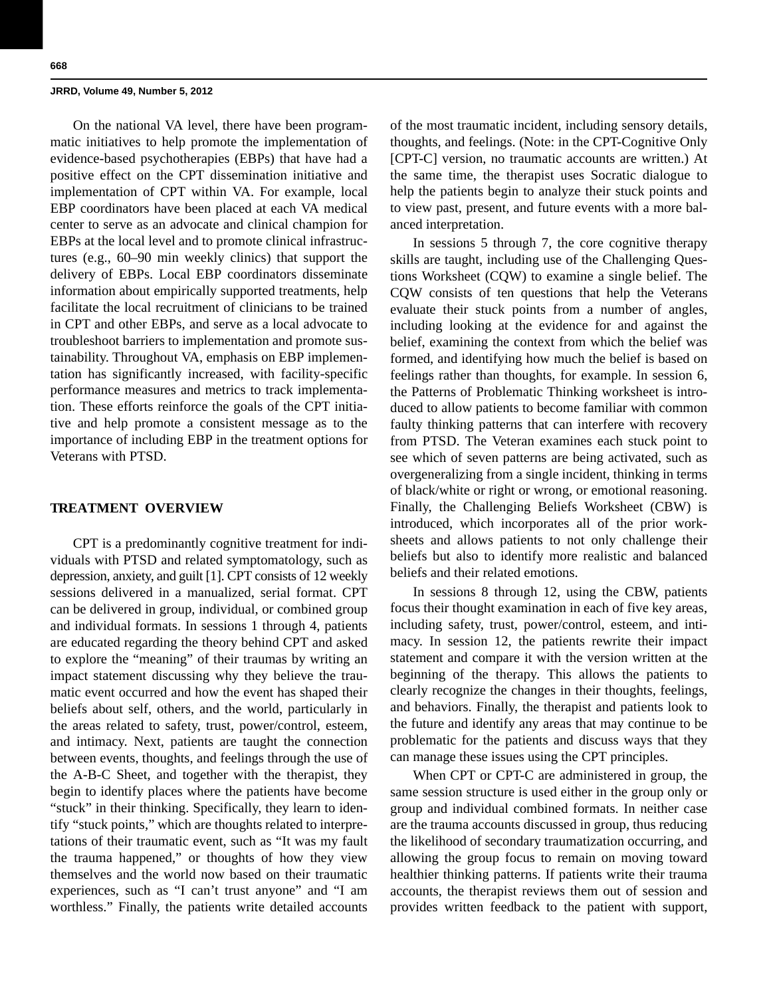On the national VA level, there have been programmatic initiatives to help promote the implementation of evidence-based psychotherapies (EBPs) that have had a positive effect on the CPT dissemination initiative and implementation of CPT within VA. For example, local EBP coordinators have been placed at each VA medical center to serve as an advocate and clinical champion for EBPs at the local level and to promote clinical infrastructures (e.g., 60–90 min weekly clinics) that support the delivery of EBPs. Local EBP coordinators disseminate information about empirically supported treatments, help facilitate the local recruitment of clinicians to be trained in CPT and other EBPs, and serve as a local advocate to troubleshoot barriers to implementation and promote sustainability. Throughout VA, emphasis on EBP implementation has significantly increased, with facility-specific performance measures and metrics to track implementation. These efforts reinforce the goals of the CPT initiative and help promote a consistent message as to the importance of including EBP in the treatment options for Veterans with PTSD.

# **TREATMENT OVERVIEW**

CPT is a predominantly cognitive treatment for individuals with PTSD and related symptomatology, such as depression, anxiety, and guilt [1]. CPT consists of 12 weekly sessions delivered in a manualized, serial format. CPT can be delivered in group, individual, or combined group and individual formats. In sessions 1 through 4, patients are educated regarding the theory behind CPT and asked to explore the "meaning" of their traumas by writing an impact statement discussing why they believe the traumatic event occurred and how the event has shaped their beliefs about self, others, and the world, particularly in the areas related to safety, trust, power/control, esteem, and intimacy. Next, patients are taught the connection between events, thoughts, and feelings through the use of the A-B-C Sheet, and together with the therapist, they begin to identify places where the patients have become "stuck" in their thinking. Specifically, they learn to identify "stuck points," which are thoughts related to interpretations of their traumatic event, such as "It was my fault the trauma happened," or thoughts of how they view themselves and the world now based on their traumatic experiences, such as "I can't trust anyone" and "I am worthless." Finally, the patients write detailed accounts

of the most traumatic incident, including sensory details, thoughts, and feelings. (Note: in the CPT-Cognitive Only [CPT-C] version, no traumatic accounts are written.) At the same time, the therapist uses Socratic dialogue to help the patients begin to analyze their stuck points and to view past, present, and future events with a more balanced interpretation.

In sessions 5 through 7, the core cognitive therapy skills are taught, including use of the Challenging Questions Worksheet (CQW) to examine a single belief. The CQW consists of ten questions that help the Veterans evaluate their stuck points from a number of angles, including looking at the evidence for and against the belief, examining the context from which the belief was formed, and identifying how much the belief is based on feelings rather than thoughts, for example. In session 6, the Patterns of Problematic Thinking worksheet is introduced to allow patients to become familiar with common faulty thinking patterns that can interfere with recovery from PTSD. The Veteran examines each stuck point to see which of seven patterns are being activated, such as overgeneralizing from a single incident, thinking in terms of black/white or right or wrong, or emotional reasoning. Finally, the Challenging Beliefs Worksheet (CBW) is introduced, which incorporates all of the prior worksheets and allows patients to not only challenge their beliefs but also to identify more realistic and balanced beliefs and their related emotions.

In sessions 8 through 12, using the CBW, patients focus their thought examination in each of five key areas, including safety, trust, power/control, esteem, and intimacy. In session 12, the patients rewrite their impact statement and compare it with the version written at the beginning of the therapy. This allows the patients to clearly recognize the changes in their thoughts, feelings, and behaviors. Finally, the therapist and patients look to the future and identify any areas that may continue to be problematic for the patients and discuss ways that they can manage these issues using the CPT principles.

When CPT or CPT-C are administered in group, the same session structure is used either in the group only or group and individual combined formats. In neither case are the trauma accounts discussed in group, thus reducing the likelihood of secondary traumatization occurring, and allowing the group focus to remain on moving toward healthier thinking patterns. If patients write their trauma accounts, the therapist reviews them out of session and provides written feedback to the patient with support,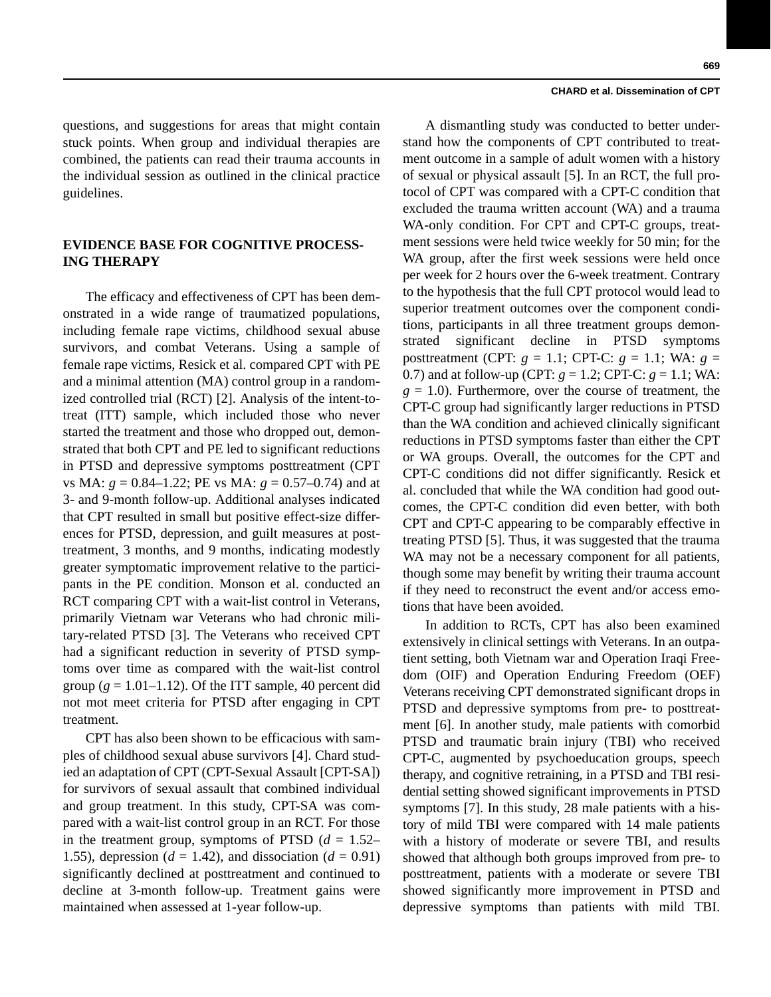#### **CHARD et al. Dissemination of CPT**

questions, and suggestions for areas that might contain stuck points. When group and individual therapies are combined, the patients can read their trauma accounts in the individual session as outlined in the clinical practice guidelines.

# **EVIDENCE BASE FOR COGNITIVE PROCESS-ING THERAPY**

The efficacy and effectiveness of CPT has been demonstrated in a wide range of traumatized populations, including female rape victims, childhood sexual abuse survivors, and combat Veterans. Using a sample of female rape victims, Resick et al. compared CPT with PE and a minimal attention (MA) control group in a randomized controlled trial (RCT) [2]. Analysis of the intent-totreat (ITT) sample, which included those who never started the treatment and those who dropped out, demonstrated that both CPT and PE led to significant reductions in PTSD and depressive symptoms posttreatment (CPT vs MA: *g* = 0.84–1.22; PE vs MA: *g* = 0.57–0.74) and at 3- and 9-month follow-up. Additional analyses indicated that CPT resulted in small but positive effect-size differences for PTSD, depression, and guilt measures at posttreatment, 3 months, and 9 months, indicating modestly greater symptomatic improvement relative to the participants in the PE condition. Monson et al. conducted an RCT comparing CPT with a wait-list control in Veterans, primarily Vietnam war Veterans who had chronic military-related PTSD [3]. The Veterans who received CPT had a significant reduction in severity of PTSD symptoms over time as compared with the wait-list control group  $(g = 1.01 - 1.12)$ . Of the ITT sample, 40 percent did not mot meet criteria for PTSD after engaging in CPT treatment.

CPT has also been shown to be efficacious with samples of childhood sexual abuse survivors [4]. Chard studied an adaptation of CPT (CPT-Sexual Assault [CPT-SA]) for survivors of sexual assault that combined individual and group treatment. In this study, CPT-SA was compared with a wait-list control group in an RCT. For those in the treatment group, symptoms of PTSD  $(d = 1.52-$ 1.55), depression ( $d = 1.42$ ), and dissociation ( $d = 0.91$ ) significantly declined at posttreatment and continued to decline at 3-month follow-up. Treatment gains were maintained when assessed at 1-year follow-up.

A dismantling study was conducted to better understand how the components of CPT contributed to treatment outcome in a sample of adult women with a history of sexual or physical assault [5]. In an RCT, the full protocol of CPT was compared with a CPT-C condition that excluded the trauma written account (WA) and a trauma WA-only condition. For CPT and CPT-C groups, treatment sessions were held twice weekly for 50 min; for the WA group, after the first week sessions were held once per week for 2 hours over the 6-week treatment. Contrary to the hypothesis that the full CPT protocol would lead to superior treatment outcomes over the component conditions, participants in all three treatment groups demonstrated significant decline in PTSD symptoms posttreatment (CPT: *g* = 1.1; CPT-C: *g* = 1.1; WA: *g* = 0.7) and at follow-up (CPT:  $g = 1.2$ ; CPT-C:  $g = 1.1$ ; WA:  $g = 1.0$ ). Furthermore, over the course of treatment, the CPT-C group had significantly larger reductions in PTSD than the WA condition and achieved clinically significant reductions in PTSD symptoms faster than either the CPT or WA groups. Overall, the outcomes for the CPT and CPT-C conditions did not differ significantly. Resick et al. concluded that while the WA condition had good outcomes, the CPT-C condition did even better, with both CPT and CPT-C appearing to be comparably effective in treating PTSD [5]. Thus, it was suggested that the trauma WA may not be a necessary component for all patients, though some may benefit by writing their trauma account if they need to reconstruct the event and/or access emotions that have been avoided.

In addition to RCTs, CPT has also been examined extensively in clinical settings with Veterans. In an outpatient setting, both Vietnam war and Operation Iraqi Freedom (OIF) and Operation Enduring Freedom (OEF) Veterans receiving CPT demonstrated significant drops in PTSD and depressive symptoms from pre- to posttreatment [6]. In another study, male patients with comorbid PTSD and traumatic brain injury (TBI) who received CPT-C, augmented by psychoeducation groups, speech therapy, and cognitive retraining, in a PTSD and TBI residential setting showed significant improvements in PTSD symptoms [7]. In this study, 28 male patients with a history of mild TBI were compared with 14 male patients with a history of moderate or severe TBI, and results showed that although both groups improved from pre- to posttreatment, patients with a moderate or severe TBI showed significantly more improvement in PTSD and depressive symptoms than patients with mild TBI.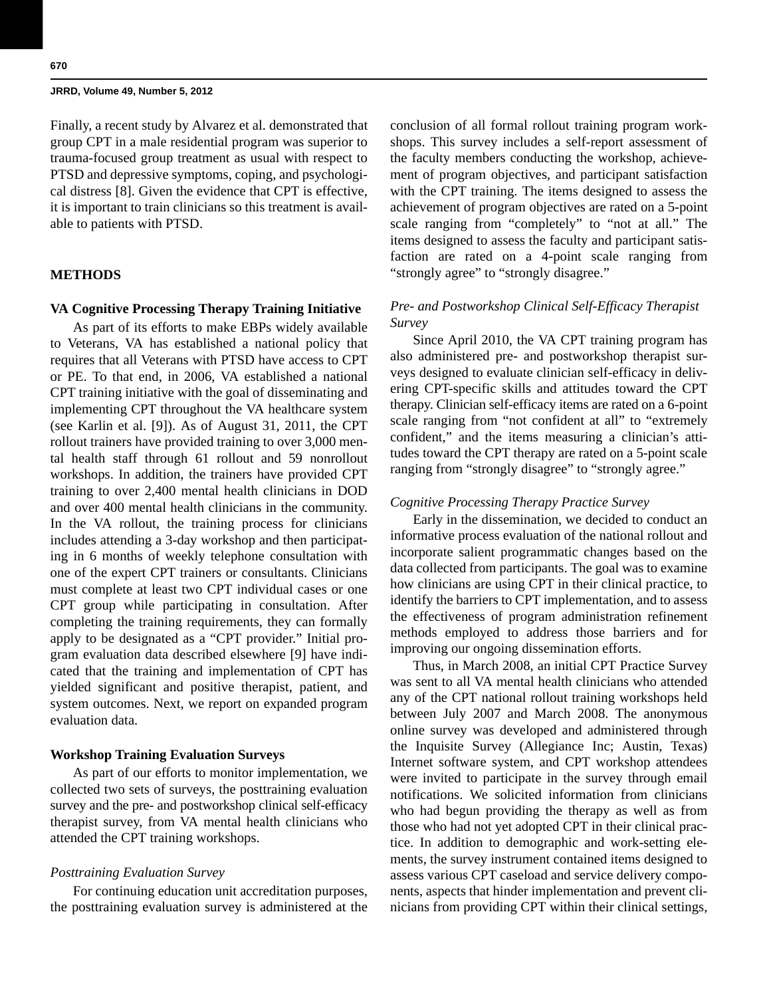Finally, a recent study by Alvarez et al. demonstrated that group CPT in a male residential program was superior to trauma-focused group treatment as usual with respect to PTSD and depressive symptoms, coping, and psychological distress [8]. Given the evidence that CPT is effective, it is important to train clinicians so this treatment is available to patients with PTSD.

#### **METHODS**

#### **VA Cognitive Processing Therapy Training Initiative**

As part of its efforts to make EBPs widely available to Veterans, VA has established a national policy that requires that all Veterans with PTSD have access to CPT or PE. To that end, in 2006, VA established a national CPT training initiative with the goal of disseminating and implementing CPT throughout the VA healthcare system (see Karlin et al. [9]). As of August 31, 2011, the CPT rollout trainers have provided training to over 3,000 mental health staff through 61 rollout and 59 nonrollout workshops. In addition, the trainers have provided CPT training to over 2,400 mental health clinicians in DOD and over 400 mental health clinicians in the community. In the VA rollout, the training process for clinicians includes attending a 3-day workshop and then participating in 6 months of weekly telephone consultation with one of the expert CPT trainers or consultants. Clinicians must complete at least two CPT individual cases or one CPT group while participating in consultation. After completing the training requirements, they can formally apply to be designated as a "CPT provider." Initial program evaluation data described elsewhere [9] have indicated that the training and implementation of CPT has yielded significant and positive therapist, patient, and system outcomes. Next, we report on expanded program evaluation data.

# **Workshop Training Evaluation Surveys**

As part of our efforts to monitor implementation, we collected two sets of surveys, the posttraining evaluation survey and the pre- and postworkshop clinical self-efficacy therapist survey, from VA mental health clinicians who attended the CPT training workshops.

#### *Posttraining Evaluation Survey*

For continuing education unit accreditation purposes, the posttraining evaluation survey is administered at the conclusion of all formal rollout training program workshops. This survey includes a self-report assessment of the faculty members conducting the workshop, achievement of program objectives, and participant satisfaction with the CPT training. The items designed to assess the achievement of program objectives are rated on a 5-point scale ranging from "completely" to "not at all." The items designed to assess the faculty and participant satisfaction are rated on a 4-point scale ranging from "strongly agree" to "strongly disagree."

# *Pre- and Postworkshop Clinical Self-Efficacy Therapist Survey*

Since April 2010, the VA CPT training program has also administered pre- and postworkshop therapist surveys designed to evaluate clinician self-efficacy in delivering CPT-specific skills and attitudes toward the CPT therapy. Clinician self-efficacy items are rated on a 6-point scale ranging from "not confident at all" to "extremely confident," and the items measuring a clinician's attitudes toward the CPT therapy are rated on a 5-point scale ranging from "strongly disagree" to "strongly agree."

#### *Cognitive Processing Therapy Practice Survey*

Early in the dissemination, we decided to conduct an informative process evaluation of the national rollout and incorporate salient programmatic changes based on the data collected from participants. The goal was to examine how clinicians are using CPT in their clinical practice, to identify the barriers to CPT implementation, and to assess the effectiveness of program administration refinement methods employed to address those barriers and for improving our ongoing dissemination efforts.

Thus, in March 2008, an initial CPT Practice Survey was sent to all VA mental health clinicians who attended any of the CPT national rollout training workshops held between July 2007 and March 2008. The anonymous online survey was developed and administered through the Inquisite Survey (Allegiance Inc; Austin, Texas) Internet software system, and CPT workshop attendees were invited to participate in the survey through email notifications. We solicited information from clinicians who had begun providing the therapy as well as from those who had not yet adopted CPT in their clinical practice. In addition to demographic and work-setting elements, the survey instrument contained items designed to assess various CPT caseload and service delivery components, aspects that hinder implementation and prevent clinicians from providing CPT within their clinical settings,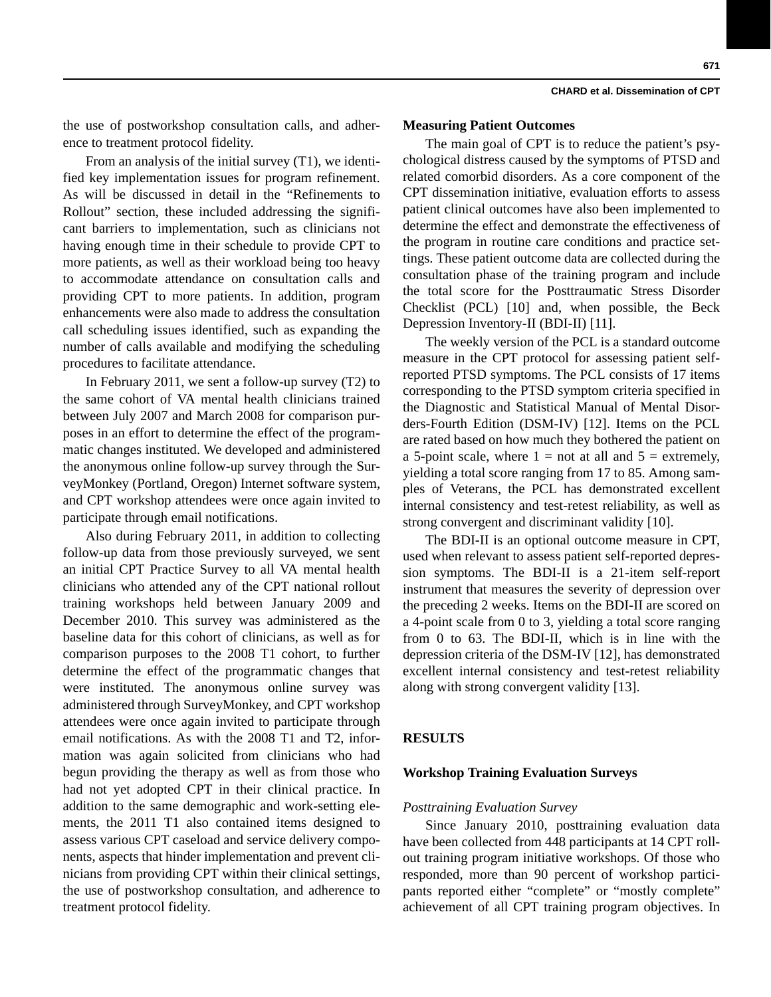the use of postworkshop consultation calls, and adherence to treatment protocol fidelity.

From an analysis of the initial survey (T1), we identified key implementation issues for program refinement. As will be discussed in detail in the "Refinements to Rollout" section, these included addressing the significant barriers to implementation, such as clinicians not having enough time in their schedule to provide CPT to more patients, as well as their workload being too heavy to accommodate attendance on consultation calls and providing CPT to more patients. In addition, program enhancements were also made to address the consultation call scheduling issues identified, such as expanding the number of calls available and modifying the scheduling procedures to facilitate attendance.

In February 2011, we sent a follow-up survey (T2) to the same cohort of VA mental health clinicians trained between July 2007 and March 2008 for comparison purposes in an effort to determine the effect of the programmatic changes instituted. We developed and administered the anonymous online follow-up survey through the SurveyMonkey (Portland, Oregon) Internet software system, and CPT workshop attendees were once again invited to participate through email notifications.

Also during February 2011, in addition to collecting follow-up data from those previously surveyed, we sent an initial CPT Practice Survey to all VA mental health clinicians who attended any of the CPT national rollout training workshops held between January 2009 and December 2010. This survey was administered as the baseline data for this cohort of clinicians, as well as for comparison purposes to the 2008 T1 cohort, to further determine the effect of the programmatic changes that were instituted. The anonymous online survey was administered through SurveyMonkey, and CPT workshop attendees were once again invited to participate through email notifications. As with the 2008 T1 and T2, information was again solicited from clinicians who had begun providing the therapy as well as from those who had not yet adopted CPT in their clinical practice. In addition to the same demographic and work-setting elements, the 2011 T1 also contained items designed to assess various CPT caseload and service delivery components, aspects that hinder implementation and prevent clinicians from providing CPT within their clinical settings, the use of postworkshop consultation, and adherence to treatment protocol fidelity.

#### **Measuring Patient Outcomes**

The main goal of CPT is to reduce the patient's psychological distress caused by the symptoms of PTSD and related comorbid disorders. As a core component of the CPT dissemination initiative, evaluation efforts to assess patient clinical outcomes have also been implemented to determine the effect and demonstrate the effectiveness of the program in routine care conditions and practice settings. These patient outcome data are collected during the consultation phase of the training program and include the total score for the Posttraumatic Stress Disorder Checklist (PCL) [10] and, when possible, the Beck Depression Inventory-II (BDI-II) [11].

The weekly version of the PCL is a standard outcome measure in the CPT protocol for assessing patient selfreported PTSD symptoms. The PCL consists of 17 items corresponding to the PTSD symptom criteria specified in the Diagnostic and Statistical Manual of Mental Disorders-Fourth Edition (DSM-IV) [12]. Items on the PCL are rated based on how much they bothered the patient on a 5-point scale, where  $1 = not$  at all and  $5 =$  extremely, yielding a total score ranging from 17 to 85. Among samples of Veterans, the PCL has demonstrated excellent internal consistency and test-retest reliability, as well as strong convergent and discriminant validity [10].

The BDI-II is an optional outcome measure in CPT, used when relevant to assess patient self-reported depression symptoms. The BDI-II is a 21-item self-report instrument that measures the severity of depression over the preceding 2 weeks. Items on the BDI-II are scored on a 4-point scale from 0 to 3, yielding a total score ranging from 0 to 63. The BDI-II, which is in line with the depression criteria of the DSM-IV [12], has demonstrated excellent internal consistency and test-retest reliability along with strong convergent validity [13].

#### **RESULTS**

#### **Workshop Training Evaluation Surveys**

#### *Posttraining Evaluation Survey*

Since January 2010, posttraining evaluation data have been collected from 448 participants at 14 CPT rollout training program initiative workshops. Of those who responded, more than 90 percent of workshop participants reported either "complete" or "mostly complete" achievement of all CPT training program objectives. In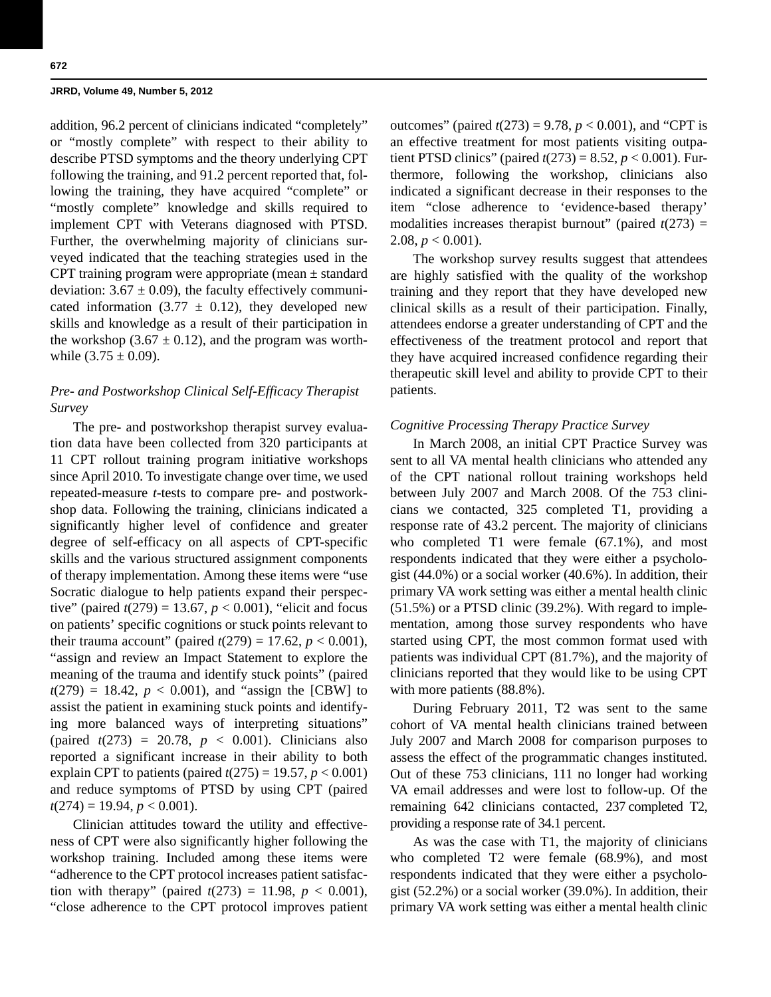addition, 96.2 percent of clinicians indicated "completely" or "mostly complete" with respect to their ability to describe PTSD symptoms and the theory underlying CPT following the training, and 91.2 percent reported that, following the training, they have acquired "complete" or "mostly complete" knowledge and skills required to implement CPT with Veterans diagnosed with PTSD. Further, the overwhelming majority of clinicians surveyed indicated that the teaching strategies used in the CPT training program were appropriate (mean  $\pm$  standard deviation:  $3.67 \pm 0.09$ ), the faculty effectively communicated information (3.77  $\pm$  0.12), they developed new skills and knowledge as a result of their participation in the workshop (3.67  $\pm$  0.12), and the program was worthwhile  $(3.75 \pm 0.09)$ .

# *Pre- and Postworkshop Clinical Self-Efficacy Therapist Survey*

The pre- and postworkshop therapist survey evaluation data have been collected from 320 participants at 11 CPT rollout training program initiative workshops since April 2010. To investigate change over time, we used repeated-measure *t*-tests to compare pre- and postworkshop data. Following the training, clinicians indicated a significantly higher level of confidence and greater degree of self-efficacy on all aspects of CPT-specific skills and the various structured assignment components of therapy implementation. Among these items were "use Socratic dialogue to help patients expand their perspective" (paired *t*(279) = 13.67, *p* < 0.001), "elicit and focus on patients' specific cognitions or stuck points relevant to their trauma account" (paired  $t(279) = 17.62$ ,  $p < 0.001$ ), "assign and review an Impact Statement to explore the meaning of the trauma and identify stuck points" (paired  $t(279) = 18.42$ ,  $p < 0.001$ ), and "assign the [CBW] to assist the patient in examining stuck points and identifying more balanced ways of interpreting situations" (paired  $t(273) = 20.78$ ,  $p < 0.001$ ). Clinicians also reported a significant increase in their ability to both explain CPT to patients (paired  $t(275) = 19.57$ ,  $p < 0.001$ ) and reduce symptoms of PTSD by using CPT (paired  $t(274) = 19.94, p < 0.001$ .

Clinician attitudes toward the utility and effectiveness of CPT were also significantly higher following the workshop training. Included among these items were "adherence to the CPT protocol increases patient satisfaction with therapy" (paired  $t(273) = 11.98$ ,  $p < 0.001$ ), "close adherence to the CPT protocol improves patient outcomes" (paired  $t(273) = 9.78$ ,  $p < 0.001$ ), and "CPT is an effective treatment for most patients visiting outpatient PTSD clinics" (paired *t*(273) = 8.52, *p* < 0.001). Furthermore, following the workshop, clinicians also indicated a significant decrease in their responses to the item "close adherence to 'evidence-based therapy' modalities increases therapist burnout" (paired  $t(273)$  =  $2.08, p < 0.001$ ).

The workshop survey results suggest that attendees are highly satisfied with the quality of the workshop training and they report that they have developed new clinical skills as a result of their participation. Finally, attendees endorse a greater understanding of CPT and the effectiveness of the treatment protocol and report that they have acquired increased confidence regarding their therapeutic skill level and ability to provide CPT to their patients.

#### *Cognitive Processing Therapy Practice Survey*

In March 2008, an initial CPT Practice Survey was sent to all VA mental health clinicians who attended any of the CPT national rollout training workshops held between July 2007 and March 2008. Of the 753 clinicians we contacted, 325 completed T1, providing a response rate of 43.2 percent. The majority of clinicians who completed T1 were female (67.1%), and most respondents indicated that they were either a psychologist (44.0%) or a social worker (40.6%). In addition, their primary VA work setting was either a mental health clinic (51.5%) or a PTSD clinic (39.2%). With regard to implementation, among those survey respondents who have started using CPT, the most common format used with patients was individual CPT (81.7%), and the majority of clinicians reported that they would like to be using CPT with more patients (88.8%).

During February 2011, T2 was sent to the same cohort of VA mental health clinicians trained between July 2007 and March 2008 for comparison purposes to assess the effect of the programmatic changes instituted. Out of these 753 clinicians, 111 no longer had working VA email addresses and were lost to follow-up. Of the remaining 642 clinicians contacted, 237 completed T2, providing a response rate of 34.1 percent.

As was the case with T1, the majority of clinicians who completed T2 were female (68.9%), and most respondents indicated that they were either a psychologist (52.2%) or a social worker (39.0%). In addition, their primary VA work setting was either a mental health clinic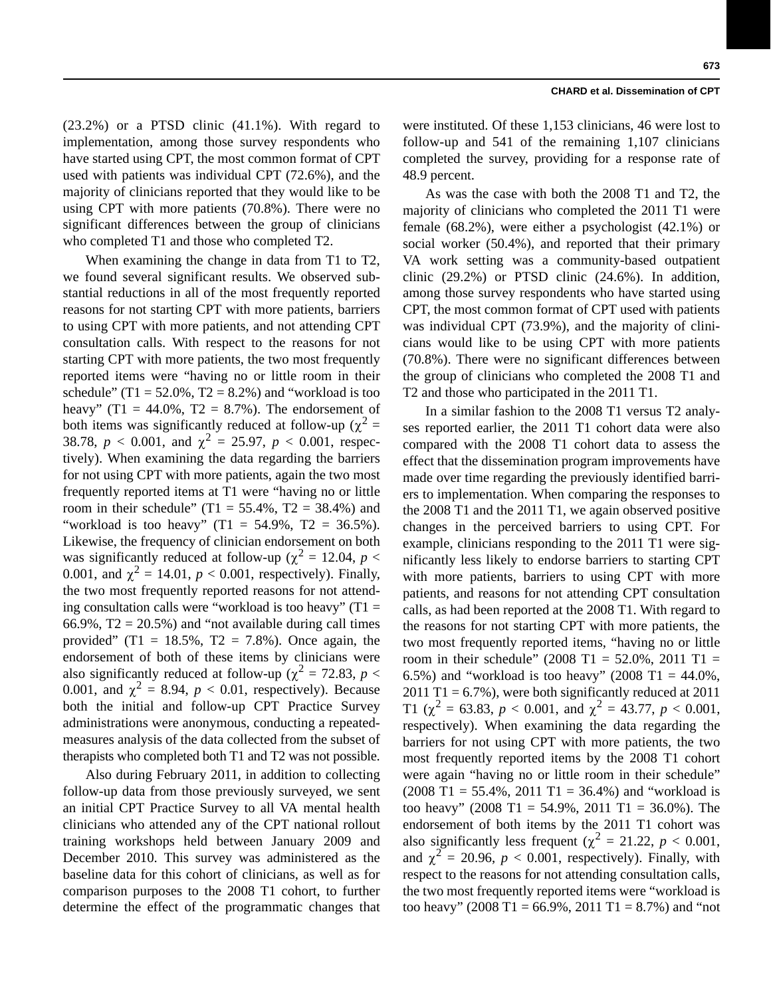(23.2%) or a PTSD clinic (41.1%). With regard to implementation, among those survey respondents who have started using CPT, the most common format of CPT used with patients was individual CPT (72.6%), and the majority of clinicians reported that they would like to be using CPT with more patients (70.8%). There were no significant differences between the group of clinicians who completed T1 and those who completed T2.

When examining the change in data from T1 to T2, we found several significant results. We observed substantial reductions in all of the most frequently reported reasons for not starting CPT with more patients, barriers to using CPT with more patients, and not attending CPT consultation calls. With respect to the reasons for not starting CPT with more patients, the two most frequently reported items were "having no or little room in their schedule" (T $1 = 52.0\%$ , T $2 = 8.2\%$ ) and "workload is too heavy" (T1 = 44.0%, T2 = 8.7%). The endorsement of both items was significantly reduced at follow-up ( $\chi^2$  = 38.78,  $p < 0.001$ , and  $\chi^2 = 25.97$ ,  $p < 0.001$ , respectively). When examining the data regarding the barriers for not using CPT with more patients, again the two most frequently reported items at T1 were "having no or little room in their schedule" (T1 = 55.4%, T2 = 38.4%) and "workload is too heavy" (T1 = 54.9%, T2 = 36.5%). Likewise, the frequency of clinician endorsement on both was significantly reduced at follow-up ( $\chi^2 = 12.04$ ,  $p <$ 0.001, and  $\chi^2 = 14.01$ ,  $p < 0.001$ , respectively). Finally, the two most frequently reported reasons for not attending consultation calls were "workload is too heavy" ( $T1 =$ 66.9%,  $T2 = 20.5%$ ) and "not available during call times provided" (T1 = 18.5%, T2 = 7.8%). Once again, the endorsement of both of these items by clinicians were also significantly reduced at follow-up ( $\chi^2$  = 72.83, *p* < 0.001, and  $\chi^2 = 8.94$ ,  $p < 0.01$ , respectively). Because both the initial and follow-up CPT Practice Survey administrations were anonymous, conducting a repeatedmeasures analysis of the data collected from the subset of therapists who completed both T1 and T2 was not possible.

Also during February 2011, in addition to collecting follow-up data from those previously surveyed, we sent an initial CPT Practice Survey to all VA mental health clinicians who attended any of the CPT national rollout training workshops held between January 2009 and December 2010. This survey was administered as the baseline data for this cohort of clinicians, as well as for comparison purposes to the 2008 T1 cohort, to further determine the effect of the programmatic changes that

were instituted. Of these 1,153 clinicians, 46 were lost to follow-up and 541 of the remaining 1,107 clinicians completed the survey, providing for a response rate of 48.9 percent.

As was the case with both the 2008 T1 and T2, the majority of clinicians who completed the 2011 T1 were female (68.2%), were either a psychologist (42.1%) or social worker (50.4%), and reported that their primary VA work setting was a community-based outpatient clinic (29.2%) or PTSD clinic (24.6%). In addition, among those survey respondents who have started using CPT, the most common format of CPT used with patients was individual CPT (73.9%), and the majority of clinicians would like to be using CPT with more patients (70.8%). There were no significant differences between the group of clinicians who completed the 2008 T1 and T2 and those who participated in the 2011 T1.

In a similar fashion to the 2008 T1 versus T2 analyses reported earlier, the 2011 T1 cohort data were also compared with the 2008 T1 cohort data to assess the effect that the dissemination program improvements have made over time regarding the previously identified barriers to implementation. When comparing the responses to the 2008 T1 and the 2011 T1, we again observed positive changes in the perceived barriers to using CPT. For example, clinicians responding to the 2011 T1 were significantly less likely to endorse barriers to starting CPT with more patients, barriers to using CPT with more patients, and reasons for not attending CPT consultation calls, as had been reported at the 2008 T1. With regard to the reasons for not starting CPT with more patients, the two most frequently reported items, "having no or little room in their schedule" (2008 T1 = 52.0%, 2011 T1 = 6.5%) and "workload is too heavy" (2008 T1 =  $44.0\%$ , 2011 T1 =  $6.7\%$ ), were both significantly reduced at 2011 T1 ( $\chi^2 = 63.83$ ,  $p < 0.001$ , and  $\chi^2 = 43.77$ ,  $p < 0.001$ , respectively). When examining the data regarding the barriers for not using CPT with more patients, the two most frequently reported items by the 2008 T1 cohort were again "having no or little room in their schedule"  $(2008 \text{ T1} = 55.4\%, 2011 \text{ T1} = 36.4\%)$  and "workload is too heavy" (2008 T1 = 54.9%, 2011 T1 = 36.0%). The endorsement of both items by the 2011 T1 cohort was also significantly less frequent ( $\chi^2 = 21.22$ ,  $p < 0.001$ , and  $\chi^2 = 20.96$ ,  $p < 0.001$ , respectively). Finally, with respect to the reasons for not attending consultation calls, the two most frequently reported items were "workload is too heavy" (2008 T1 = 66.9%, 2011 T1 = 8.7%) and "not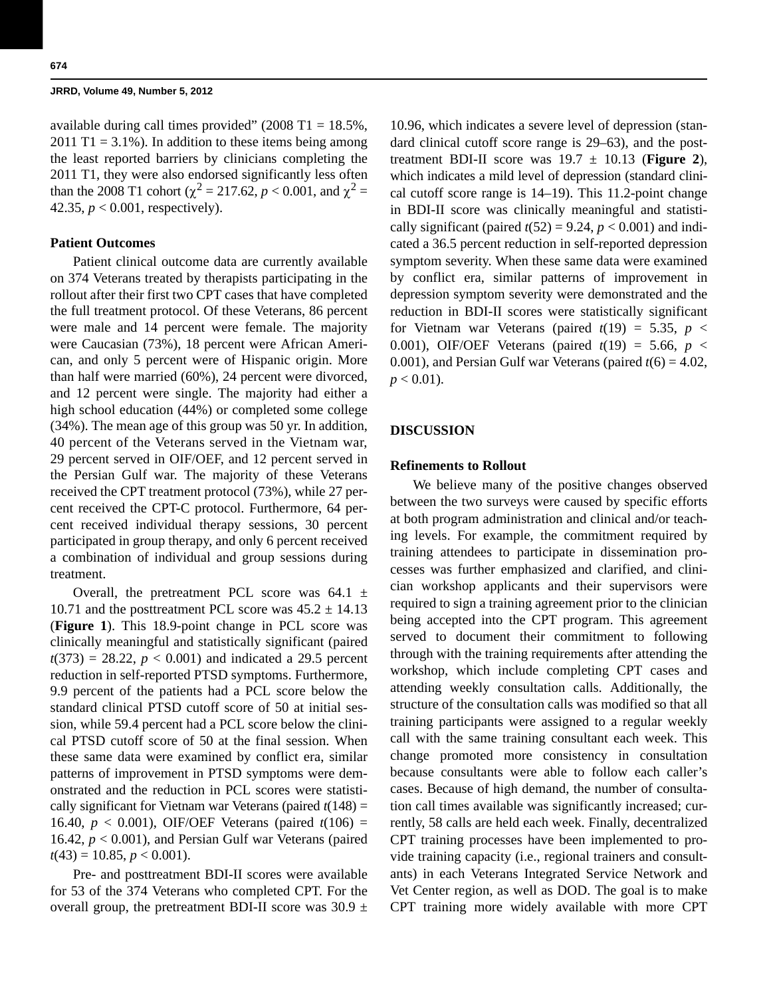available during call times provided" (2008 T1 =  $18.5\%$ ,  $2011$  T1 = 3.1%). In addition to these items being among the least reported barriers by clinicians completing the 2011 T1, they were also endorsed significantly less often than the 2008 T1 cohort ( $\chi^2 = 217.62$ ,  $p < 0.001$ , and  $\chi^2 =$ 42.35,  $p < 0.001$ , respectively).

# **Patient Outcomes**

Patient clinical outcome data are currently available on 374 Veterans treated by therapists participating in the rollout after their first two CPT cases that have completed the full treatment protocol. Of these Veterans, 86 percent were male and 14 percent were female. The majority were Caucasian (73%), 18 percent were African American, and only 5 percent were of Hispanic origin. More than half were married (60%), 24 percent were divorced, and 12 percent were single. The majority had either a high school education (44%) or completed some college (34%). The mean age of this group was 50 yr. In addition, 40 percent of the Veterans served in the Vietnam war, 29 percent served in OIF/OEF, and 12 percent served in the Persian Gulf war. The majority of these Veterans received the CPT treatment protocol (73%), while 27 percent received the CPT-C protocol. Furthermore, 64 percent received individual therapy sessions, 30 percent participated in group therapy, and only 6 percent received a combination of individual and group sessions during treatment.

Overall, the pretreatment PCL score was  $64.1 \pm$ 10.71 and the posttreatment PCL score was  $45.2 \pm 14.13$ (**Figure 1**). This 18.9-point change in PCL score was clinically meaningful and statistically significant (paired  $t(373) = 28.22$ ,  $p < 0.001$ ) and indicated a 29.5 percent reduction in self-reported PTSD symptoms. Furthermore, 9.9 percent of the patients had a PCL score below the standard clinical PTSD cutoff score of 50 at initial session, while 59.4 percent had a PCL score below the clinical PTSD cutoff score of 50 at the final session. When these same data were examined by conflict era, similar patterns of improvement in PTSD symptoms were demonstrated and the reduction in PCL scores were statistically significant for Vietnam war Veterans (paired *t*(148) = 16.40, *p* < 0.001), OIF/OEF Veterans (paired *t*(106) = 16.42, *p* < 0.001), and Persian Gulf war Veterans (paired  $t(43) = 10.85, p < 0.001$ ).

Pre- and posttreatment BDI-II scores were available for 53 of the 374 Veterans who completed CPT. For the overall group, the pretreatment BDI-II score was  $30.9 \pm$ 

10.96, which indicates a severe level of depression (standard clinical cutoff score range is 29–63), and the posttreatment BDI-II score was  $19.7 \pm 10.13$  (Figure 2), which indicates a mild level of depression (standard clinical cutoff score range is 14–19). This 11.2-point change in BDI-II score was clinically meaningful and statistically significant (paired  $t(52) = 9.24$ ,  $p < 0.001$ ) and indicated a 36.5 percent reduction in self-reported depression symptom severity. When these same data were examined by conflict era, similar patterns of improvement in depression symptom severity were demonstrated and the reduction in BDI-II scores were statistically significant for Vietnam war Veterans (paired  $t(19) = 5.35$ ,  $p <$ 0.001), OIF/OEF Veterans (paired  $t(19) = 5.66$ ,  $p <$ 0.001), and Persian Gulf war Veterans (paired  $t(6) = 4.02$ ,  $p < 0.01$ ).

### **DISCUSSION**

### **Refinements to Rollout**

We believe many of the positive changes observed between the two surveys were caused by specific efforts at both program administration and clinical and/or teaching levels. For example, the commitment required by training attendees to participate in dissemination processes was further emphasized and clarified, and clinician workshop applicants and their supervisors were required to sign a training agreement prior to the clinician being accepted into the CPT program. This agreement served to document their commitment to following through with the training requirements after attending the workshop, which include completing CPT cases and attending weekly consultation calls. Additionally, the structure of the consultation calls was modified so that all training participants were assigned to a regular weekly call with the same training consultant each week. This change promoted more consistency in consultation because consultants were able to follow each caller's cases. Because of high demand, the number of consultation call times available was significantly increased; currently, 58 calls are held each week. Finally, decentralized CPT training processes have been implemented to provide training capacity (i.e., regional trainers and consultants) in each Veterans Integrated Service Network and Vet Center region, as well as DOD. The goal is to make CPT training more widely available with more CPT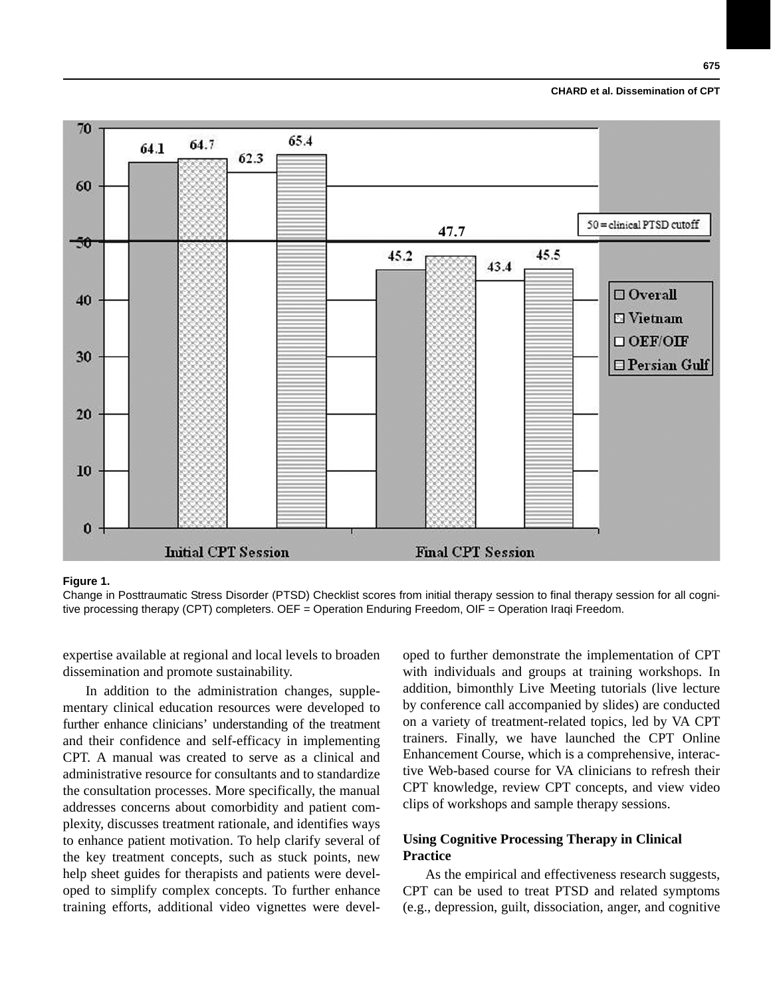#### **CHARD et al. Dissemination of CPT**



#### **Figure 1.**

Change in Posttraumatic Stress Disorder (PTSD) Checklist scores from initial therapy session to final therapy session for all cognitive processing therapy (CPT) completers. OEF = Operation Enduring Freedom, OIF = Operation Iraqi Freedom.

expertise available at regional and local levels to broaden dissemination and promote sustainability.

In addition to the administration changes, supplementary clinical education resources were developed to further enhance clinicians' understanding of the treatment and their confidence and self-efficacy in implementing CPT. A manual was created to serve as a clinical and administrative resource for consultants and to standardize the consultation processes. More specifically, the manual addresses concerns about comorbidity and patient complexity, discusses treatment rationale, and identifies ways to enhance patient motivation. To help clarify several of the key treatment concepts, such as stuck points, new help sheet guides for therapists and patients were developed to simplify complex concepts. To further enhance training efforts, additional video vignettes were developed to further demonstrate the implementation of CPT with individuals and groups at training workshops. In addition, bimonthly Live Meeting tutorials (live lecture by conference call accompanied by slides) are conducted on a variety of treatment-related topics, led by VA CPT trainers. Finally, we have launched the CPT Online Enhancement Course, which is a comprehensive, interactive Web-based course for VA clinicians to refresh their CPT knowledge, review CPT concepts, and view video clips of workshops and sample therapy sessions.

# **Using Cognitive Processing Therapy in Clinical Practice**

As the empirical and effectiveness research suggests, CPT can be used to treat PTSD and related symptoms (e.g., depression, guilt, dissociation, anger, and cognitive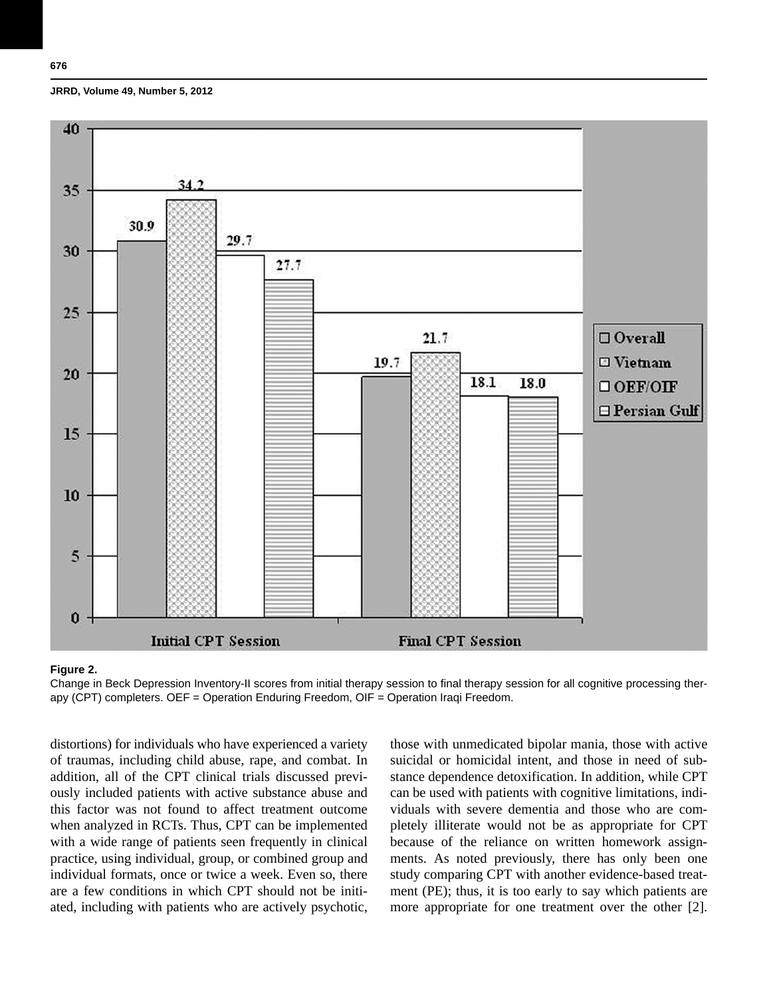



#### **Figure 2.**

Change in Beck Depression Inventory-II scores from initial therapy session to final therapy session for all cognitive processing therapy (CPT) completers. OEF = Operation Enduring Freedom, OIF = Operation Iraqi Freedom.

distortions) for individuals who have experienced a variety of traumas, including child abuse, rape, and combat. In addition, all of the CPT clinical trials discussed previously included patients with active substance abuse and this factor was not found to affect treatment outcome when analyzed in RCTs. Thus, CPT can be implemented with a wide range of patients seen frequently in clinical practice, using individual, group, or combined group and individual formats, once or twice a week. Even so, there are a few conditions in which CPT should not be initiated, including with patients who are actively psychotic, those with unmedicated bipolar mania, those with active suicidal or homicidal intent, and those in need of substance dependence detoxification. In addition, while CPT can be used with patients with cognitive limitations, individuals with severe dementia and those who are completely illiterate would not be as appropriate for CPT because of the reliance on written homework assignments. As noted previously, there has only been one study comparing CPT with another evidence-based treatment (PE); thus, it is too early to say which patients are more appropriate for one treatment over the other [2].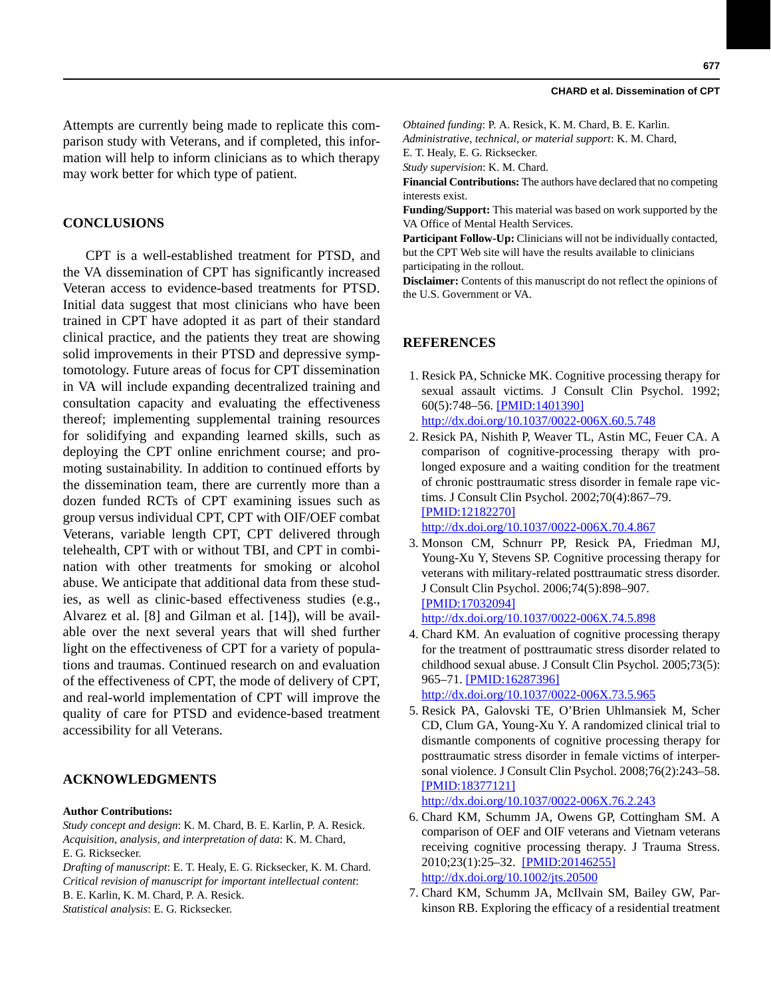#### **CHARD et al. Dissemination of CPT**

Attempts are currently being made to replicate this comparison study with Veterans, and if completed, this information will help to inform clinicians as to which therapy may work better for which type of patient.

# **CONCLUSIONS**

CPT is a well-established treatment for PTSD, and the VA dissemination of CPT has significantly increased Veteran access to evidence-based treatments for PTSD. Initial data suggest that most clinicians who have been trained in CPT have adopted it as part of their standard clinical practice, and the patients they treat are showing solid improvements in their PTSD and depressive symptomotology. Future areas of focus for CPT dissemination in VA will include expanding decentralized training and consultation capacity and evaluating the effectiveness thereof; implementing supplemental training resources for solidifying and expanding learned skills, such as deploying the CPT online enrichment course; and promoting sustainability. In addition to continued efforts by the dissemination team, there are currently more than a dozen funded RCTs of CPT examining issues such as group versus individual CPT, CPT with OIF/OEF combat Veterans, variable length CPT, CPT delivered through telehealth, CPT with or without TBI, and CPT in combination with other treatments for smoking or alcohol abuse. We anticipate that additional data from these studies, as well as clinic-based effectiveness studies (e.g., Alvarez et al. [8] and Gilman et al. [14]), will be available over the next several years that will shed further light on the effectiveness of CPT for a variety of populations and traumas. Continued research on and evaluation of the effectiveness of CPT, the mode of delivery of CPT, and real-world implementation of CPT will improve the quality of care for PTSD and evidence-based treatment accessibility for all Veterans.

# **ACKNOWLEDGMENTS**

#### **Author Contributions:**

*Study concept and design*: K. M. Chard, B. E. Karlin, P. A. Resick. *Acquisition, analysis, and interpretation of data*: K. M. Chard, E. G. Ricksecker.

*Drafting of manuscript*: E. T. Healy, E. G . Ricksecker, K. M. Chard. *Critical revision of manuscript for important intellectual content*: B. E. Karlin, K. M. Chard, P. A. Resick. *Statistical analysis: E. G. Ricksecker.* 

*Obtained funding*: P. A. Resick, K. M. Chard, B. E. Karlin. *Administrative, technical, or material support*: K. M. Chard, E. T. Healy, E. G. Ricksecker.

*Study supervision*: K. M. Chard.

**Financial Contributions:** The authors have declared that no competing interests exist.

**Funding/Support:** This material was based on work supported by the VA Office of Mental Health Services.

**Participant Follow-Up:** Clinicians will not be individually contacted, but the CPT Web site will have the results available to clinicians participating in the rollout.

**Disclaimer:** Contents of this manuscript do not reflect the opinions of the U.S. Government or VA.

# **REFERENCES**

- 1. Resick PA, Schnicke MK. Cognitive processing therapy for sexual assault victims. J Consult Clin Psychol. 1992; 60(5):748–56. [\[PMID:1401390\]](http://www.ncbi.nlm.nih.gov/pubmed/1401390) http://dx.doi.org/10.1037/0022-006X.60.5.748
- 2. Resick PA, Nishith P, Weaver TL, Astin MC, Feuer CA. A comparison of cognitive-processing therapy with prolonged exposure and a waiting condition for the treatment of chronic posttraumatic stress disorder in female rape victims. J Consult Clin Psychol. 2002;70(4):867–79. [\[PMID:12182270\]](http://www.ncbi.nlm.nih.gov/pubmed/12182270)

http://dx.doi.org/10.1037/0022-006X.70.4.867

 3. Monson CM, Schnurr PP, Resick PA, Friedman MJ, Young-Xu Y, Stevens SP. Cognitive processing therapy for veterans with military-related posttraumatic stress disorder. J Consult Clin Psychol. 2006;74(5):898–907. [\[PMID:17032094\]](http://www.ncbi.nlm.nih.gov/pubmed/17032094)

http://dx.doi.org/10.1037/0022-006X.74.5.898

 4. Chard KM. An evaluation of cognitive processing therapy for the treatment of posttraumatic stress disorder related to childhood sexual abuse. J Consult Clin Psychol. 2005;73(5): 965-71. [\[PMID:16287396\]](http://www.ncbi.nlm.nih.gov/pubmed/16287396)

http://dx.doi.org/10.1037/0022-006X.73.5.965

 5. Resick PA, Galovski TE, O'Brien Uhlmansiek M, Scher CD, Clum GA, Young-Xu Y. A randomized clinical trial to dismantle components of cognitive processing therapy for posttraumatic stress disorder in female victims of interpersonal violence. J Consult Clin Psychol. 2008;76(2):243–58. [\[PMID:18377121\]](http://www.ncbi.nlm.nih.gov/pubmed/18377121)

http://dx.doi.org/10.1037/0022-006X.76.2.243

- 6. Chard KM, Schumm JA, Owens GP, Cottingham SM. A comparison of OEF and OIF veterans and Vietnam veterans receiving cognitive processing therapy. J Trauma Stress. 2010;23(1):25–32. [\[PMID:20146255\]](http://www.ncbi.nlm.nih.gov/pubmed/20146255) http://dx.doi.org/10.1002/jts.20500
- 7. Chard KM, Schumm JA, McIlvain SM, Bailey GW, Parkinson RB. Exploring the efficacy of a residential treatment